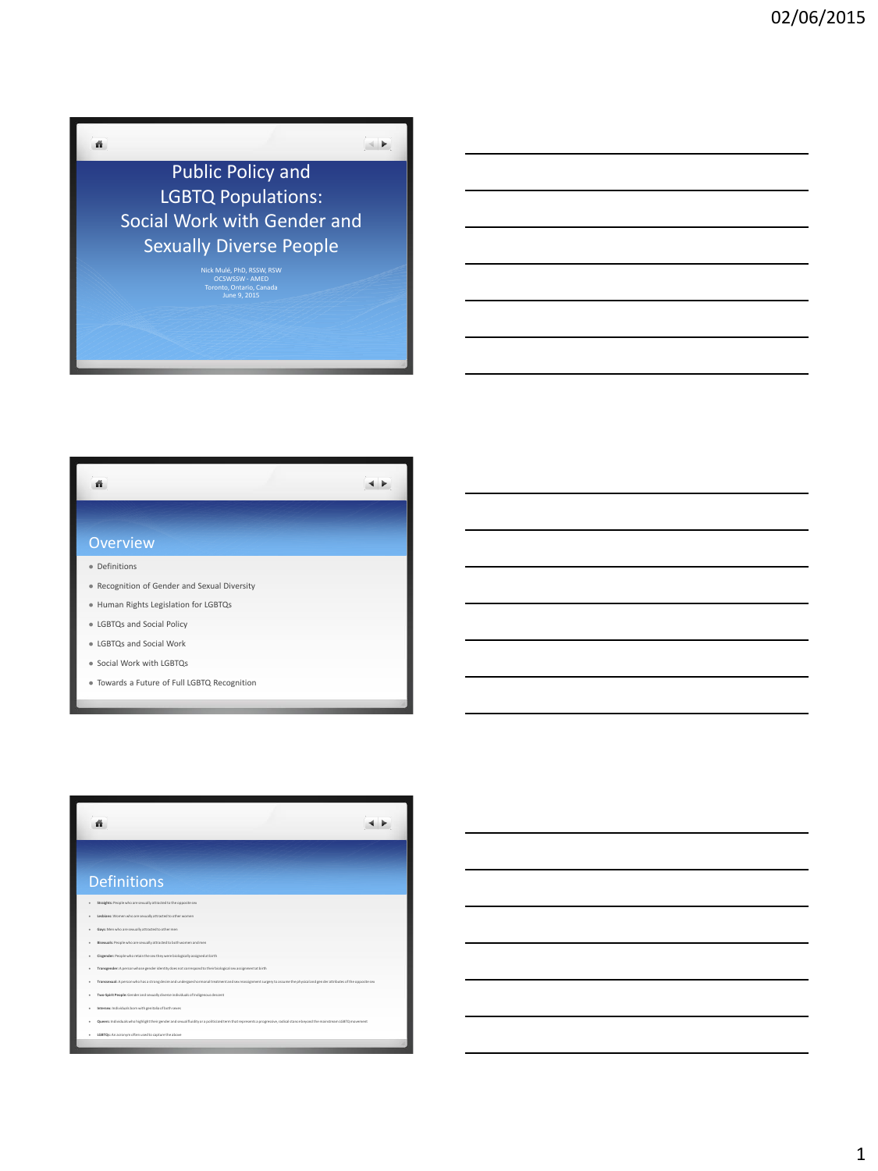

| ñ                                            |  |
|----------------------------------------------|--|
|                                              |  |
| <b>Overview</b>                              |  |
| Definitions                                  |  |
| Recognition of Gender and Sexual Diversity   |  |
| · Human Rights Legislation for LGBTQs        |  |
| • LGBTQs and Social Policy                   |  |
| <b>LGBTOs and Social Work</b>                |  |
| Social Work with LGBTQs<br>٠                 |  |
| · Towards a Future of Full LGBTQ Recognition |  |



**LGBTQs:** An acronym often used to capture the above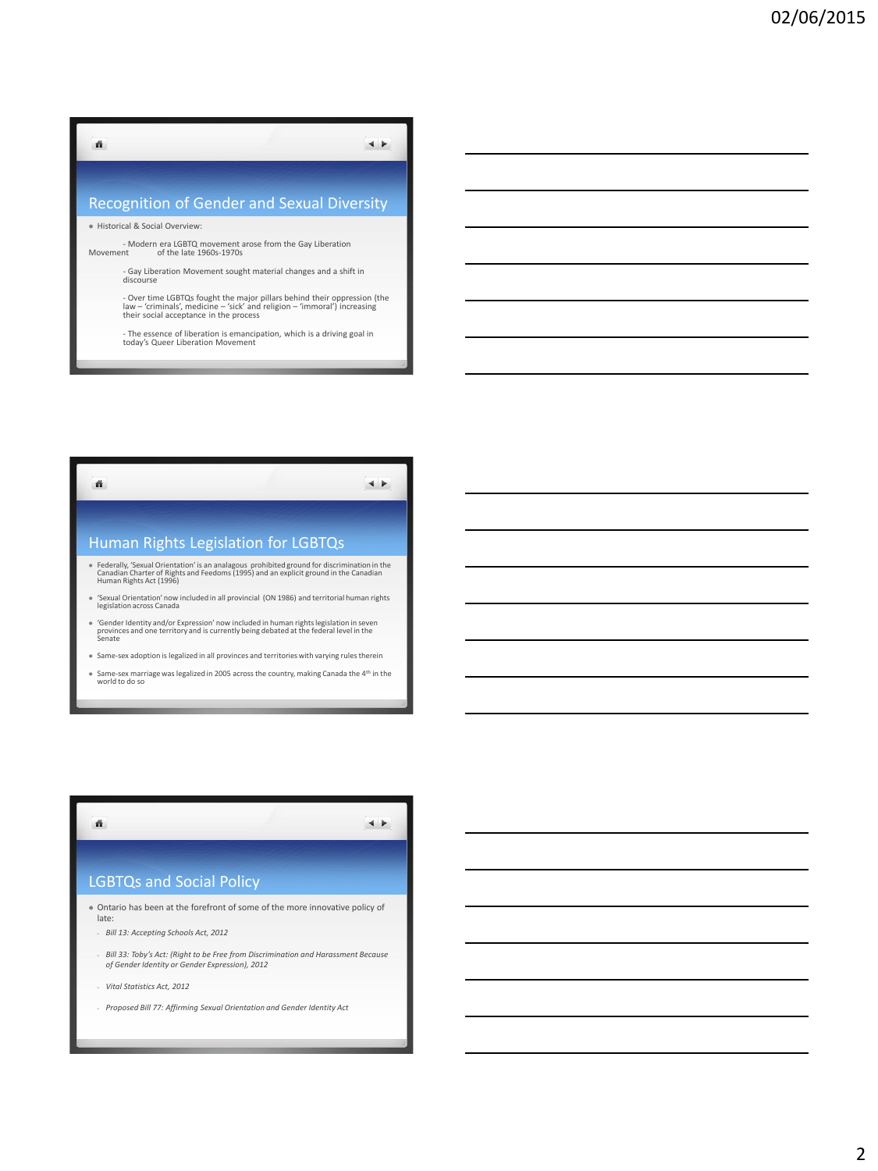## ñ  $\blacktriangleleft$   $\blacktriangleright$ Recognition of Gender and Sexual Diversity Historical & Social Overview:

- Modern era LGBTQ movement arose from the Gay Liberation Movement of the late 1960s-1970s

- Gay Liberation Movement sought material changes and a shift in discourse

- Over time LGBTQs fought the major pillars behind their oppression (the law – 'criminals', medicine – 'sick' and religion – 'immoral') increasing their social acceptance in the process

- The essence of liberation is emancipation, which is a driving goal in today's Queer Liberation Movement

ñ.  $\begin{array}{c} \hline \end{array}$ Human Rights Legislation for LGBTQs Federally, 'Sexual Orientation' is an analagous prohibited ground for discrimination in the Canadian Charter of Rights and Feedoms (1995) and an explicit ground in the Canadian Human Rights Act (1996) 'Sexual Orientation' now included in all provincial (ON 1986) and territorial human rights legislation across Canada

- 'Gender Identity and/or Expression' now included in human rights legislation in seven provinces and one territory and is currently being debated at the federal level in the Senate
- Same-sex adoption is legalized in all provinces and territories with varying rules therein
- Same-sex marriage was legalized in 2005 across the country, making Canada the 4th in the world to do so

## LGBTQs and Social Policy

 Ontario has been at the forefront of some of the more innovative policy of late:

 $\leftarrow$ 

- *Bill 13: Accepting Schools Act, 2012*
- *Bill 33: Toby's Act: (Right to be Free from Discrimination and Harassment Because of Gender Identity or Gender Expression), 2012*
- *Vital Statistics Act, 2012*

ñ.

- *Proposed Bill 77: Affirming Sexual Orientation and Gender Identity Act*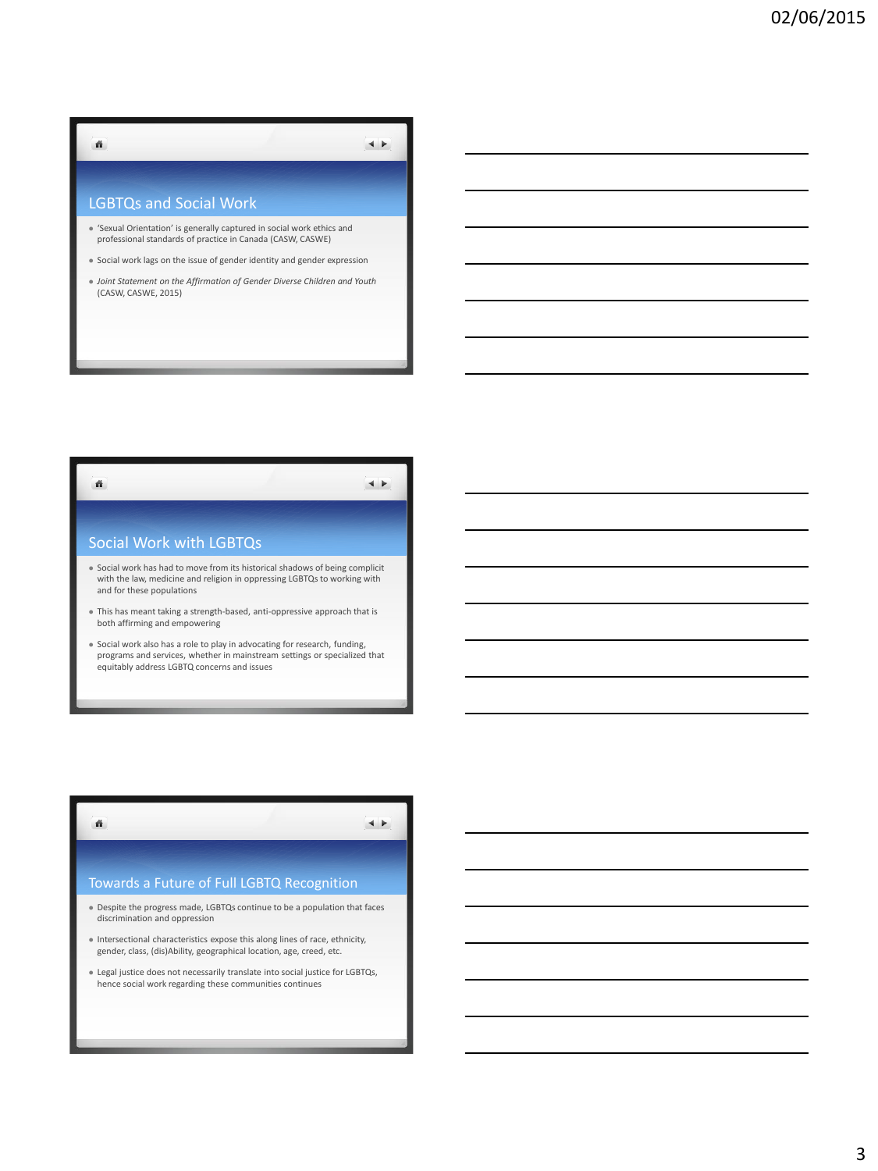## LGBTQs and Social Work

ñ

- 'Sexual Orientation' is generally captured in social work ethics and professional standards of practice in Canada (CASW, CASWE)
- Social work lags on the issue of gender identity and gender expression
- *Joint Statement on the Affirmation of Gender Diverse Children and Youth*  (CASW, CASWE, 2015)

 $\blacktriangleleft$   $\blacktriangleright$ 

 $\leftarrow$ 



- This has meant taking a strength-based, anti-oppressive approach that is both affirming and empowering
- Social work also has a role to play in advocating for research, funding, programs and services, whether in mainstream settings or specialized that equitably address LGBTQ concerns and issues

## Towards a Future of Full LGBTQ Recognition

ñ.

- Despite the progress made, LGBTQs continue to be a population that faces discrimination and oppression
- $\bullet$  Intersectional characteristics expose this along lines of race, ethnicity, gender, class, (dis)Ability, geographical location, age, creed, etc.
- Legal justice does not necessarily translate into social justice for LGBTQs, hence social work regarding these communities continues